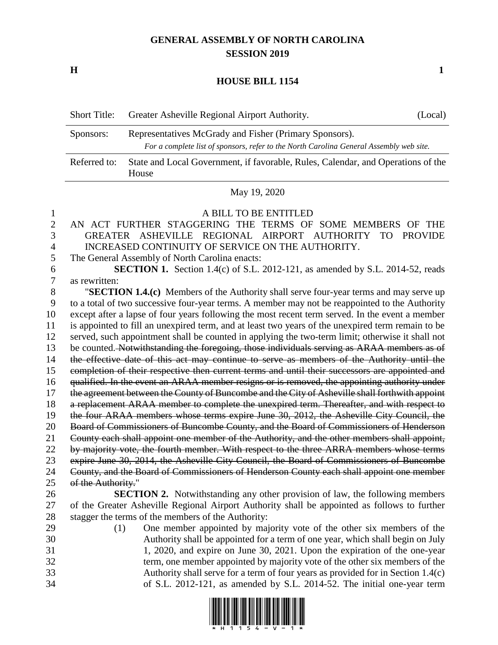## **GENERAL ASSEMBLY OF NORTH CAROLINA SESSION 2019**

**H 1**

## **HOUSE BILL 1154**

| <b>Short Title:</b> | Greater Asheville Regional Airport Authority.                                                                                                     | (Local) |  |  |
|---------------------|---------------------------------------------------------------------------------------------------------------------------------------------------|---------|--|--|
| Sponsors:           | Representatives McGrady and Fisher (Primary Sponsors).<br>For a complete list of sponsors, refer to the North Carolina General Assembly web site. |         |  |  |
| Referred to:        | State and Local Government, if favorable, Rules, Calendar, and Operations of the<br>House                                                         |         |  |  |
| 10.000              |                                                                                                                                                   |         |  |  |

## May 19, 2020

## A BILL TO BE ENTITLED AN ACT FURTHER STAGGERING THE TERMS OF SOME MEMBERS OF THE GREATER ASHEVILLE REGIONAL AIRPORT AUTHORITY TO PROVIDE INCREASED CONTINUITY OF SERVICE ON THE AUTHORITY. The General Assembly of North Carolina enacts:

 **SECTION 1.** Section 1.4(c) of S.L. 2012-121, as amended by S.L. 2014-52, reads as rewritten:

 "**SECTION 1.4.(c)** Members of the Authority shall serve four-year terms and may serve up to a total of two successive four-year terms. A member may not be reappointed to the Authority except after a lapse of four years following the most recent term served. In the event a member is appointed to fill an unexpired term, and at least two years of the unexpired term remain to be served, such appointment shall be counted in applying the two-term limit; otherwise it shall not 13 be counted. Notwithstanding the foregoing, those individuals serving as ARAA members as of 14 the effective date of this act may continue to serve as members of the Authority until the completion of their respective then current terms and until their successors are appointed and qualified. In the event an ARAA member resigns or is removed, the appointing authority under 17 the agreement between the County of Buncombe and the City of Asheville shall forthwith appoint 18 a replacement ARAA member to complete the unexpired term. Thereafter, and with respect to the four ARAA members whose terms expire June 30, 2012, the Asheville City Council, the Board of Commissioners of Buncombe County, and the Board of Commissioners of Henderson County each shall appoint one member of the Authority, and the other members shall appoint, 22 by majority vote, the fourth member. With respect to the three ARRA members whose terms expire June 30, 2014, the Asheville City Council, the Board of Commissioners of Buncombe County, and the Board of Commissioners of Henderson County each shall appoint one member of the Authority." **SECTION 2.** Notwithstanding any other provision of law, the following members of the Greater Asheville Regional Airport Authority shall be appointed as follows to further

stagger the terms of the members of the Authority:

 (1) One member appointed by majority vote of the other six members of the Authority shall be appointed for a term of one year, which shall begin on July 1, 2020, and expire on June 30, 2021. Upon the expiration of the one-year term, one member appointed by majority vote of the other six members of the Authority shall serve for a term of four years as provided for in Section 1.4(c) of S.L. 2012-121, as amended by S.L. 2014-52. The initial one-year term